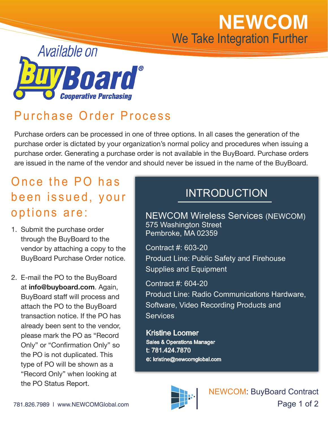# **NEWCOM** We Take Integration Further



## Purchase Order Process

Purchase orders can be processed in one of three options. In all cases the generation of the purchase order is dictated by your organization's normal policy and procedures when issuing a purchase order. Generating a purchase order is not available in the BuyBoard. Purchase orders are issued in the name of the vendor and should never be issued in the name of the BuyBoard.

#### Once the PO has been issued, your options are:

- 1. Submit the purchase order through the BuyBoard to the vendor by attaching a copy to the BuyBoard Purchase Order notice.
- 2. E-mail the PO to the BuyBoard at **info@buyboard.com**. Again, BuyBoard staff will process and attach the PO to the BuyBoard transaction notice. If the PO has already been sent to the vendor, please mark the PO as "Record Only" or "Confirmation Only" so the PO is not duplicated. This type of PO will be shown as a "Record Only" when looking at the PO Status Report.

#### INTRODUCTION

NEWCOM Wireless Services (NEWCOM) 575 Washington Street Pembroke, MA 02359

Contract #: 603-20 Product Line: Public Safety and Firehouse Supplies and Equipment

Contract #: 604-20 Product Line: Radio Communications Hardware, Software, Video Recording Products and **Services** 

Kristine Loomer Sales & Operations Manager t: 781.424.7870 e: kristine@newcomglobal.com



NEWCOM: BuyBoard Contract Page 1 of 2